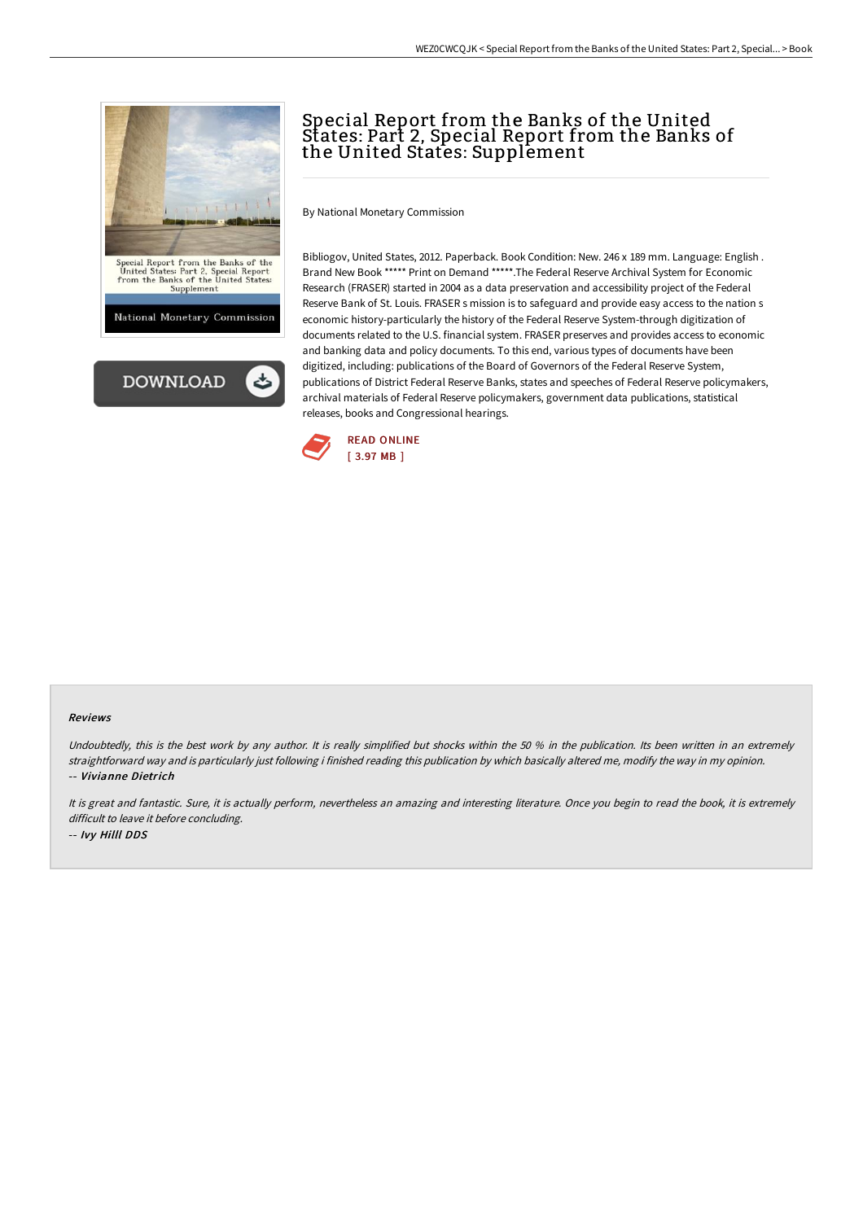



# Special Report from the Banks of the United States: Part 2, Special Report from the Banks of the United States: Supplement

By National Monetary Commission

Bibliogov, United States, 2012. Paperback. Book Condition: New. 246 x 189 mm. Language: English . Brand New Book \*\*\*\*\* Print on Demand \*\*\*\*\*.The Federal Reserve Archival System for Economic Research (FRASER) started in 2004 as a data preservation and accessibility project of the Federal Reserve Bank of St. Louis. FRASER s mission is to safeguard and provide easy access to the nation s economic history-particularly the history of the Federal Reserve System-through digitization of documents related to the U.S. financial system. FRASER preserves and provides access to economic and banking data and policy documents. To this end, various types of documents have been digitized, including: publications of the Board of Governors of the Federal Reserve System, publications of District Federal Reserve Banks, states and speeches of Federal Reserve policymakers, archival materials of Federal Reserve policymakers, government data publications, statistical releases, books and Congressional hearings.



#### Reviews

Undoubtedly, this is the best work by any author. It is really simplified but shocks within the 50 % in the publication. Its been written in an extremely straightforward way and is particularly just following i finished reading this publication by which basically altered me, modify the way in my opinion. -- Vivianne Dietrich

It is great and fantastic. Sure, it is actually perform, nevertheless an amazing and interesting literature. Once you begin to read the book, it is extremely difficult to leave it before concluding. -- Ivy Hilll DDS